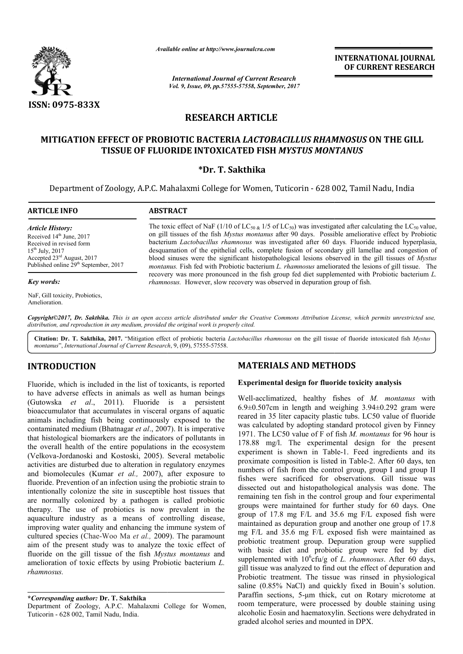

*Available online at http://www.journalcra.com*

*International Journal of Current Research Vol. 9, Issue, 09, pp.57555-57558, September, 2017* **INTERNATIONAL JOURNAL OF CURRENT RESEARCH**

## **RESEARCH ARTICLE**

## **MITIGATION EFFECT OF PROBIOTIC BACTERIA**  *LACTOBACILLUS RHAMNOSUS* **ON THE GILL TISSUE OF FLUORIDE INTOXICATED FISH**  *MYSTUS MONTANUS*

## **\*Dr. T. Sakthika**

Department of Zoology, A.P.C. Mahalaxmi College for Women, Tuticorin - 628 002, Tamil Nadu, India

## **ARTICLE INFO ABSTRACT**

*Article History:* Received 14<sup>th</sup> June, 2017 Received in revised form 15th July, 2017 Accepted 23rd August, 2017 Published online 29<sup>th</sup> September, 2017

#### *Key words:*

NaF, Gill toxicity, Probiotics, Amelioration.

The toxic effect of NaF (1/10 of  $LC_{50 \& 1/5}$  of  $LC_{50}$ ) was investigated after calculating the  $LC_{50}$  value, on gill tissues of the fish *Mystus montanus* after 90 days. Possible ameliorative effect by Probiotic on gill tissues of the fish *Mystus montanus* after 90 days. Possible ameliorative effect by Probiotic bacterium *Lactobacillus rhamnosus* was investigated after 60 days. Fluoride induced hyperplasia, desquamation of the epithelial cells, complete fusion of secondary gill lamellae and congestion of desquamation of the epithelial cells, complete fusion of secondary gill lamellae and congestion of blood sinuses were the significant histopathological lesions observed in the gill tissues of *Mystus* blood sinuses were the significant histopathological lesions observed in the gill tissues of *Mystus montanus*. Fish fed with Probiotic bacterium *L. rhamnosus* ameliorated the lesions of gill tissue. The *montanus*. Fish fed with Probiotic bacterium *L. rhamnosus* ameliorated the lesions of gill tissue. The recovery was more pronounced in the fish group fed diet supplemented with Probiotic bacterium *L*. rhamnosus. However, slow recovery was observed in depuration group of fish.

Copyright©2017, Dr. Sakthika. This is an open access article distributed under the Creative Commons Attribution License, which permits unrestricted use, *distribution, and reproduction in any medium, provided the original work is properly cited.*

Citation: Dr. T. Sakthika, 2017. "Mitigation effect of probiotic bacteria *Lactobacillus rhamnosus* on the gill tissue of fluoride intoxicated fish *Mystus montanus*", *International Journal of Current Research* , 9, (09), 57555-57558.

## **INTRODUCTION**

Fluoride, which is included in the list of toxicants, is reported to have adverse effects in animals as well as human beings (Gutowska *et al*., 2011). Fluoride is a persistent bioaccumulator that accumulates in visceral organs of aquatic animals including fish being continuously exposed to the contaminated medium (Bhatnagar *et al*., 2007). It is imperative that histological biomarkers are the indicators of pollutants in the overall health of the entire populations in the ecosystem (Velkova-Jordanoski and Kostoski, 2005). Several metabolic activities are disturbed due to alteration in regulatory enzymes and biomolecules (Kumar *et al.,* 2007), after exposure to fluoride. Prevention of an infection using the probiotic strain to intentionally colonize the site in susceptible host tissues that are normally colonized by a pathogen is called probiotic therapy. The use of probiotics is now prevalent in the the overall health of the entire populations in the ecosystem (Velkova-Jordanoski and Kostoski, 2005). Several metabolic activities are disturbed due to alteration in regulatory enzymes and biomolecules (Kumar *et al.*, 2 improving water quality and enhancing the immune system of cultured species (Chae-Woo Ma *et al.,* 2009). The paramount aim of the present study was to analyze the toxic effect of fluoride on the gill tissue of the fish *Mystus montanus* and amelioration of toxic effects by using Probiotic bacterium L. *rhamnosus.*

# **MATERIALS AND METHODS METHODS**

## **Experimental design for fluoride toxicity analysis**

Well-acclimatized, healthy fishes of M. montanus with  $6.9\pm0.507$ cm in length and weighing  $3.94\pm0.292$  gram were reared in 35 liter capacity plastic tubs. LC50 value of fluoride was calculated by adopting standard protocol given by Finney 6.9 $\pm$ 0.507cm in length and weighing 3.94 $\pm$ 0.292 gram were reared in 35 liter capacity plastic tubs. LC50 value of fluoride was calculated by adopting standard protocol given by Finney 1971. The LC50 value of F of fish 178.88 mg/l. The experimental design for the present 178.88 mg/l. The experimental design for the present experiment is shown in Table-1. Feed ingredients and its proximate composition is listed in Table-2. After 60 days, ten numbers of fish from the control group, group I and group II numbers of fish from the control group, group I and group II fishes were sacrificed for observations. Gill tissue was dissected out and histopathological analysis was done. The remaining ten fish in the control group and four experimental groups were maintained for further study for 60 days. One groups were maintained for further study for 60 days. One<br>group of 17.8 mg F/L and 35.6 mg F/L exposed fish were maintained as depuration group and another one group of 17.8 mg F/L and 35.6 mg F/L exposed fish were maintained as probiotic treatment group. Depuration group were supplied with basic diet and probiotic group were fed by diet supplemented with  $10^6$ cfu/g of gill tissue was analyzed to find out the effect of depuration and Probiotic treatment. The tissue was rinsed in physiological saline (0.85% NaCl) and quickly fixed in Bouin's solution. Paraffin sections, 5-μm thick, cut on Rotary microtome at room temperature, were processed by double staining using alcoholic Eosin and haematoxylin. Sections were dehydrated in graded alcohol series and mounted in DPX. itained as depuration group and another one group of 17.8 F/L and 35.6 mg F/L exposed fish were maintained as iotic treatment group. Depuration group were supplied basic diet and probiotic group were fed by diet blemented ed to find out the effect of depuration and<br>The tissue was rinsed in physiological<br>and quickly fixed in Bouin's solution.<br>μm thick, cut on Rotary microtome at

Department of Zoology, A.P.C. Mahalaxmi College for Women, Tuticorin - 628 002, Tamil Nadu, India.

**<sup>\*</sup>***Corresponding author:* **Dr. T. Sakthika**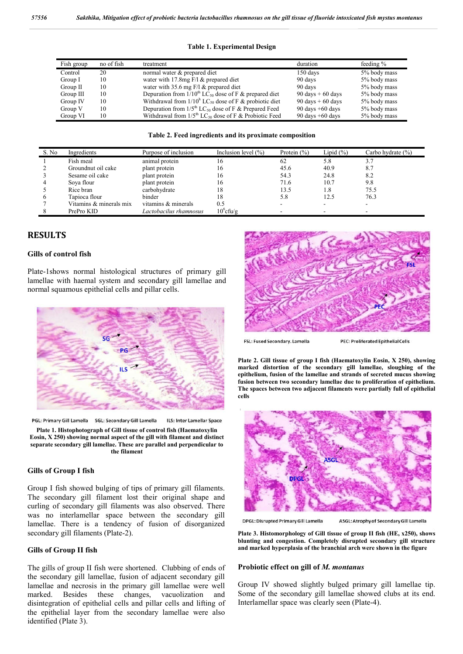| <b>Table 1. Experimental Design</b> |  |  |  |  |
|-------------------------------------|--|--|--|--|
|-------------------------------------|--|--|--|--|

| Fish group  | no of fish | treatment                                                              | duration           | feeding $\%$ |
|-------------|------------|------------------------------------------------------------------------|--------------------|--------------|
| Control     | 20         | normal water & prepared diet                                           | 150 days           | 5% body mass |
| Group I     | 10         | water with 17.8 mg $F/I$ & prepared diet                               | 90 days            | 5% body mass |
| Group $\Pi$ | 10         | water with 35.6 mg $F/l \&$ prepared diet                              | 90 days            | 5% body mass |
| Group III   | 10         | Depuration from $1/10^{th}$ LC <sub>50</sub> dose of F & prepared diet | 90 days $+60$ days | 5% body mass |
| Group IV    | 10         | Withdrawal from $1/10^h$ LC <sub>50</sub> dose of F & probiotic diet   | 90 days $+60$ days | 5% body mass |
| Group V     | 10         | Depuration from $1/5^{th}$ LC <sub>50</sub> dose of F & Prepared Feed  | 90 days $+60$ days | 5% body mass |
| Group VI    | 10         | Withdrawal from $1/5^{th}$ LC <sub>50</sub> dose of F & Probiotic Feed | 90 days $+60$ days | 5% body mass |

|  |  | Table 2. Feed ingredients and its proximate composition |
|--|--|---------------------------------------------------------|
|  |  |                                                         |

| S. No | Ingredients             | Purpose of inclusion   | Inclusion level $(\% )$ | Protein $(\% )$ | Lipid $(\% )$ | Carbo hydrate $(\% )$ |
|-------|-------------------------|------------------------|-------------------------|-----------------|---------------|-----------------------|
|       | Fish meal               | animal protein         | 16                      | 62              | 5.8           | 3.7                   |
|       | Groundnut oil cake      | plant protein          | 16                      | 45.6            | 40.9          | 8.7                   |
|       | Sesame oil cake         | plant protein          | 16                      | 54.3            | 24.8          | 8.2                   |
|       | Sova flour              | plant protein          | 16                      | 71.6            | 10.7          | 9.8                   |
|       | Rice bran               | carbohydrate           | 18                      | 13.5            | 1.8           | 75.5                  |
|       | Tapioca flour           | binder                 | 18                      | 5.8             | 12.5          | 76.3                  |
|       | Vitamins & minerals mix | vitamins & minerals    | 0.5                     |                 |               |                       |
|       | PrePro KID              | Lactobacilus rhamnosus | $10^6$ cfu/g            |                 |               | ۰                     |

## **RESULTS**

## **Gills of control fish**

Plate-1shows normal histological structures of primary gill lamellae with haemal system and secondary gill lamellae and normal squamous epithelial cells and pillar cells.



PGL: Primary Gill Lamella SGL: Secondary Gill Lamella ILS: Inter Lamellar Space

**Plate 1. Histophotograph of Gill tissue of control fish (Haematoxylin Eosin, X 250) showing normal aspect of the gill with filament and distinct separate secondary gill lamellae. These are parallel and perpendicular to the filament**

#### **Gills of Group I fish**

Group I fish showed bulging of tips of primary gill filaments. The secondary gill filament lost their original shape and curling of secondary gill filaments was also observed. There was no interlamellar space between the secondary gill lamellae. There is a tendency of fusion of disorganized secondary gill filaments (Plate-2).

### **Gills of Group II fish**

The gills of group II fish were shortened. Clubbing of ends of the secondary gill lamellae, fusion of adjacent secondary gill lamellae and necrosis in the primary gill lamellae were well marked. Besides these changes, vacuolization and disintegration of epithelial cells and pillar cells and lifting of the epithelial layer from the secondary lamellae were also identified (Plate 3).



FSL: Fused Secondary. Lamella

**PEC: Proliferated Epithelial Cells** 

**Plate 2. Gill tissue of group I fish (Haematoxylin Eosin, X 250), showing marked distortion of the secondary gill lamellae, sloughing of the epithelium, fusion of the lamellae and strands of secreted mucus showing fusion between two secondary lamellae due to proliferation of epithelium. The spaces between two adjacent filaments were partially full of epithelial cells**



DPGL: Disrupted Primary Gill Lamella

ASGL: Atrophy of Secondary Gill Lamella

**Plate 3. Histomorphology of Gill tissue of group II fish (HE, x250), shows blunting and congestion. Completely disrupted secondary gill structure and marked hyperplasia of the branchial arch were shown in the figure**

#### **Probiotic effect on gill of** *M. montanus*

Group IV showed slightly bulged primary gill lamellae tip. Some of the secondary gill lamellae showed clubs at its end. Interlamellar space was clearly seen (Plate-4).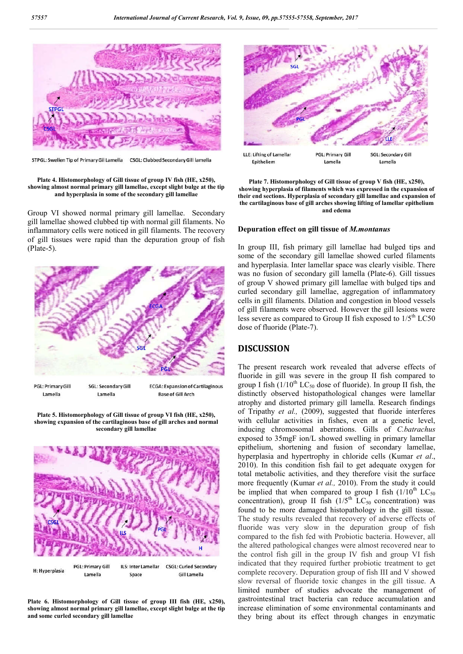

STPGL: Swellen Tip of Primary Gil Lamella CSGL: Clubbed Secondary Gill lamella

**Plate 4. Histomorphology of Gill tissue of group IV fish (HE, x250), showing almost normal primary gill lamellae, except slight bulge at the tip and hyperplasia in some of the secondary gill lamellae**

Group VI showed normal primary gill lamellae. Secondary gill lamellae showed clubbed tip with normal gill filaments. No inflammatory cells were noticed in gill filaments. The recovery of gill tissues were rapid than the depuration group of fish (Plate-5).



Lamella Lamella **Base of Gill Arch** 

**Plate 5. Histomorphology of Gill tissue of group VI fish (HE, x250), showing expansion of the cartilaginous base of gill arches and normal secondary gill lamellae**



**Plate 6. Histomorphology of Gill tissue of group III fish (HE, x250), showing almost normal primary gill lamellae, except slight bulge at the tip and some curled secondary gill lamellae**



**Plate 7. Histomorphology of Gill tissue of group V fish (HE, x250), showing hyperplasia of filaments which was expressed in the expansion of their end sections. Hyperplasia of secondary gill lamellae and expansion of the cartilaginous base of gill arches showing lifting of lamellar epithelium and edema**

#### **Depuration effect on gill tissue of** *M.montanus*

In group III, fish primary gill lamellae had bulged tips and some of the secondary gill lamellae showed curled filaments and hyperplasia. Inter lamellar space was clearly visible. There was no fusion of secondary gill lamella (Plate-6). Gill tissues of group V showed primary gill lamellae with bulged tips and curled secondary gill lamellae, aggregation of inflammatory cells in gill filaments. Dilation and congestion in blood vessels of gill filaments were observed. However the gill lesions were less severe as compared to Group II fish exposed to  $1/5<sup>th</sup>$  LC50 dose of fluoride (Plate-7).

### **DISCUSSION**

The present research work revealed that adverse effects of fluoride in gill was severe in the group II fish compared to group I fish  $(1/10^{th}$  LC<sub>50</sub> dose of fluoride). In group II fish, the distinctly observed histopathological changes were lamellar atrophy and distorted primary gill lamella. Research findings of Tripathy *et al.,* (2009), suggested that fluoride interferes with cellular activities in fishes, even at a genetic level, inducing chromosomal aberrations. Gills of *C.batrachus*  exposed to 35mgF ion/L showed swelling in primary lamellar epithelium, shortening and fusion of secondary lamellae, hyperplasia and hypertrophy in chloride cells (Kumar *et al*., 2010). In this condition fish fail to get adequate oxygen for total metabolic activities, and they therefore visit the surface more frequently (Kumar *et al.,* 2010). From the study it could be implied that when compared to group I fish  $(1/10<sup>th</sup> LC<sub>50</sub>)$ concentration), group II fish  $(1/5<sup>th</sup> LC<sub>50</sub>$  concentration) was found to be more damaged histopathology in the gill tissue. The study results revealed that recovery of adverse effects of fluoride was very slow in the depuration group of fish compared to the fish fed with Probiotic bacteria. However, all the altered pathological changes were almost recovered near to the control fish gill in the group IV fish and group VI fish indicated that they required further probiotic treatment to get complete recovery. Depuration group of fish III and V showed slow reversal of fluoride toxic changes in the gill tissue. A limited number of studies advocate the management of gastrointestinal tract bacteria can reduce accumulation and increase elimination of some environmental contaminants and they bring about its effect through changes in enzymatic